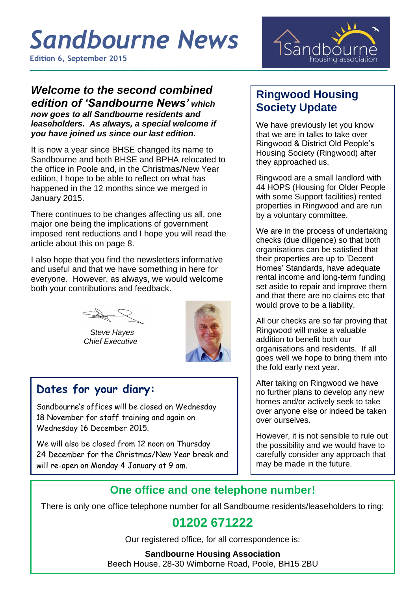# *Sandbourne News*

**Edition 6, September 2015**



## *Welcome to the second combined edition of 'Sandbourne News' which*

*now goes to all Sandbourne residents and leaseholders. As always, a special welcome if you have joined us since our last edition.*

It is now a year since BHSE changed its name to Sandbourne and both BHSE and BPHA relocated to the office in Poole and, in the Christmas/New Year edition, I hope to be able to reflect on what has happened in the 12 months since we merged in January 2015.

There continues to be changes affecting us all, one major one being the implications of government imposed rent reductions and I hope you will read the article about this on page 8.

I also hope that you find the newsletters informative and useful and that we have something in here for everyone. However, as always, we would welcome both your contributions and feedback.

 *Steve Hayes Chief Executive*



### **Dates for your diary:**

Sandbourne's offices will be closed on Wednesday 18 November for staff training and again on Wednesday 16 December 2015.

We will also be closed from 12 noon on Thursday 24 December for the Christmas/New Year break and will re-open on Monday 4 January at 9 am.

### **Ringwood Housing Society Update**

We have previously let you know that we are in talks to take over Ringwood & District Old People's Housing Society (Ringwood) after they approached us.

Ringwood are a small landlord with 44 HOPS (Housing for Older People with some Support facilities) rented properties in Ringwood and are run by a voluntary committee.

We are in the process of undertaking checks (due diligence) so that both organisations can be satisfied that their properties are up to 'Decent Homes' Standards, have adequate rental income and long-term funding set aside to repair and improve them and that there are no claims etc that would prove to be a liability.

All our checks are so far proving that Ringwood will make a valuable addition to benefit both our organisations and residents. If all goes well we hope to bring them into the fold early next year.

After taking on Ringwood we have no further plans to develop any new homes and/or actively seek to take over anyone else or indeed be taken over ourselves.

However, it is not sensible to rule out the possibility and we would have to carefully consider any approach that may be made in the future.

### **One office and one telephone number!**

There is only one office telephone number for all Sandbourne residents/leaseholders to ring:

### **01202 671222**

Our registered office, for all correspondence is:

#### **Sandbourne Housing Association**

Beech House, 28-30 Wimborne Road, Poole, BH15 2BU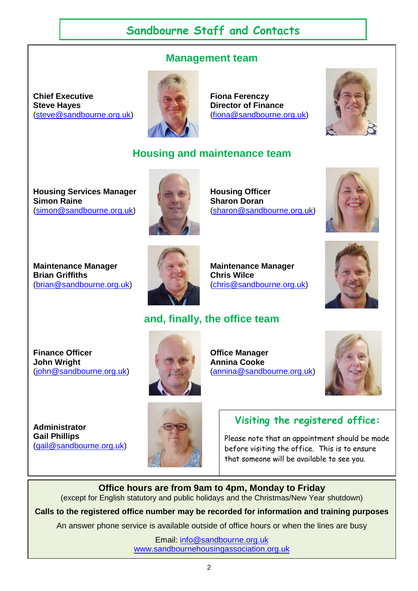### **Sandbourne Staff and Contacts**

### **Management team**

**Chief Executive Fiona Ferenczy Steve Hayes Director of Finance** [\(steve@sandbourne.org.uk\)](mailto:steve@sandbourne.org.uk) [\(fiona@sandbourne.org.uk\)](mailto:fiona@sandbourne.org.uk)





### **Housing and maintenance team**

**Housing Services Manager Housing Officer<br>Simon Raine Manager Manager Sharon Doran** [\(simon@sandbourne.org.uk\)](mailto:simon@sandbourne.org.uk) [\(sharon@sandbourne.org.uk\)](mailto:sharon@sandbourne.org.uk)



**Sharon Doran** 





**Maintenance Manager Manufacture Manager Maintenance Manager** [\(brian@sandbourne.org.uk\)](mailto:brian@sandbourne.org.uk) [\(chris@sandbourne.org.uk\)](mailto:chris@sandbourne.org.uk)



### **and, finally, the office team**

**Finance Officer Contract Contract Contract Contract Contract Contract Contract Office Manager John Wright Annina Cooke** 



[\(john@sandbourne.org.uk\)](mailto:john@sandbourne.org.uk) [\(annina@sandbourne.org.uk\)](mailto:annina@sandbourne.org.uk)



**Administrator Gail Phillips** [\(gail@sandbourne.org.uk\)](mailto:gail@sandbourne.org.uk)



#### **Visiting the registered office:**

Please note that an appointment should be made before visiting the office. This is to ensure that someone will be available to see you.

**Office hours are from 9am to 4pm, Monday to Friday** (except for English statutory and public holidays and the Christmas/New Year shutdown)

**Calls to the registered office number may be recorded for information and training purposes**

An answer phone service is available outside of office hours or when the lines are busy

Email: [info@sandbourne.org.uk](mailto:info@sandbourne.org.uk) [www.sandbournehousingassociation.org.uk](http://www.sandbournehousingassociation.org.uk/)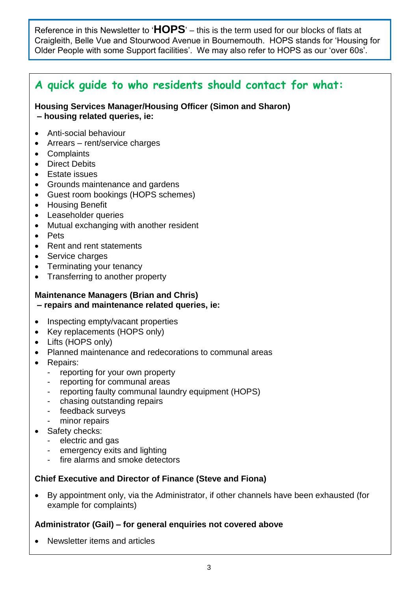Reference in this Newsletter to '**HOPS**' – this is the term used for our blocks of flats at Craigleith, Belle Vue and Stourwood Avenue in Bournemouth. HOPS stands for 'Housing for Older People with some Support facilities'. We may also refer to HOPS as our 'over 60s'.

### **A quick guide to who residents should contact for what:**

#### **Housing Services Manager/Housing Officer (Simon and Sharon) – housing related queries, ie:**

- Anti-social behaviour
- Arrears rent/service charges
- Complaints
- Direct Debits
- Estate issues
- Grounds maintenance and gardens
- Guest room bookings (HOPS schemes)
- Housing Benefit
- Leaseholder queries
- Mutual exchanging with another resident
- Pets
- Rent and rent statements
- Service charges
- Terminating your tenancy
- Transferring to another property

#### **Maintenance Managers (Brian and Chris) – repairs and maintenance related queries, ie:**

- Inspecting empty/vacant properties
- Key replacements (HOPS only)
- Lifts (HOPS only)
- Planned maintenance and redecorations to communal areas
- Repairs:
	- reporting for your own property
	- reporting for communal areas
	- reporting faulty communal laundry equipment (HOPS)
	- chasing outstanding repairs
	- feedback surveys
	- minor repairs
- Safety checks:
	- electric and gas
	- emergency exits and lighting
	- fire alarms and smoke detectors

#### **Chief Executive and Director of Finance (Steve and Fiona)**

 By appointment only, via the Administrator, if other channels have been exhausted (for example for complaints)

#### **Administrator (Gail) – for general enquiries not covered above**

Newsletter items and articles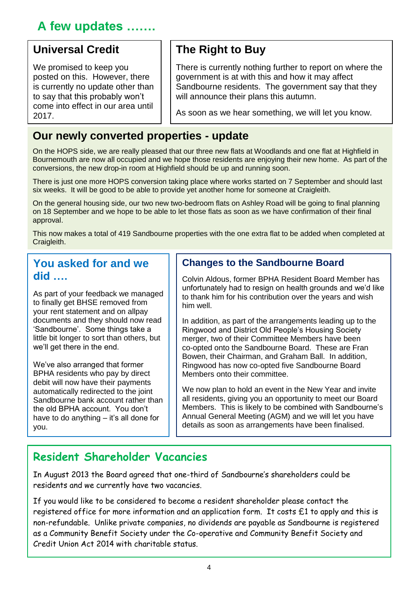### **A few updates …….**

### **Universal Credit**

We promised to keep you posted on this. However, there is currently no update other than to say that this probably won't come into effect in our area until 2017.

### **The Right to Buy**

There is currently nothing further to report on where the government is at with this and how it may affect Sandbourne residents. The government say that they will announce their plans this autumn.

As soon as we hear something, we will let you know.

### **Our newly converted properties - update**

On the HOPS side, we are really pleased that our three new flats at Woodlands and one flat at Highfield in Bournemouth are now all occupied and we hope those residents are enjoying their new home. As part of the conversions, the new drop-in room at Highfield should be up and running soon.

There is just one more HOPS conversion taking place where works started on 7 September and should last six weeks. It will be good to be able to provide yet another home for someone at Craigleith.

On the general housing side, our two new two-bedroom flats on Ashley Road will be going to final planning on 18 September and we hope to be able to let those flats as soon as we have confirmation of their final approval.

This now makes a total of 419 Sandbourne properties with the one extra flat to be added when completed at Craigleith.

### **You asked for and we did ….**

As part of your feedback we managed to finally get BHSE removed from your rent statement and on allpay documents and they should now read 'Sandbourne'. Some things take a little bit longer to sort than others, but we'll get there in the end.

We've also arranged that former BPHA residents who pay by direct debit will now have their payments automatically redirected to the joint Sandbourne bank account rather than the old BPHA account. You don't have to do anything – it's all done for you.

### **Changes to the Sandbourne Board**

Colvin Aldous, former BPHA Resident Board Member has unfortunately had to resign on health grounds and we'd like to thank him for his contribution over the years and wish him well.

In addition, as part of the arrangements leading up to the Ringwood and District Old People's Housing Society merger, two of their Committee Members have been co-opted onto the Sandbourne Board. These are Fran Bowen, their Chairman, and Graham Ball. In addition, Ringwood has now co-opted five Sandbourne Board Members onto their committee.

We now plan to hold an event in the New Year and invite all residents, giving you an opportunity to meet our Board Members. This is likely to be combined with Sandbourne's Annual General Meeting (AGM) and we will let you have details as soon as arrangements have been finalised.

### **Resident Shareholder Vacancies**

In August 2013 the Board agreed that one-third of Sandbourne's shareholders could be residents and we currently have two vacancies.

If you would like to be considered to become a resident shareholder please contact the registered office for more information and an application form. It costs £1 to apply and this is non-refundable. Unlike private companies, no dividends are payable as Sandbourne is registered as a Community Benefit Society under the Co-operative and Community Benefit Society and Credit Union Act 2014 with charitable status.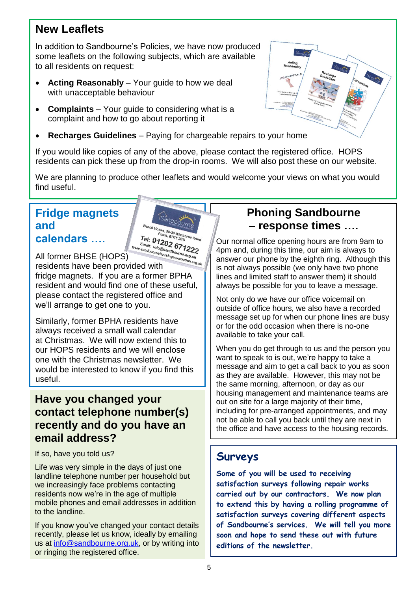### **New Leaflets**

In addition to Sandbourne's Policies, we have now produced some leaflets on the following subjects, which are available to all residents on request:

- **Acting Reasonably** Your guide to how we deal with unacceptable behaviour
- **Complaints** Your guide to considering what is a complaint and how to go about reporting it
- **Recharges Guidelines** Paying for chargeable repairs to your home

If you would like copies of any of the above, please contact the registered office. HOPS residents can pick these up from the drop-in rooms. We will also post these on our website.

We are planning to produce other leaflets and would welcome your views on what you would find useful.

### **Fridge magnets and calendars ….**



All former BHSE (HOPS) residents have been provided with fridge magnets. If you are a former BPHA resident and would find one of these useful, please contact the registered office and we'll arrange to get one to you.

Similarly, former BPHA residents have always received a small wall calendar at Christmas. We will now extend this to our HOPS residents and we will enclose one with the Christmas newsletter. We would be interested to know if you find this useful.

### **Have you changed your contact telephone number(s) recently and do you have an email address?**

If so, have you told us?

Life was very simple in the days of just one landline telephone number per household but we increasingly face problems contacting residents now we're in the age of multiple mobile phones and email addresses in addition to the landline.

If you know you've changed your contact details recently, please let us know, ideally by emailing us at [info@sandbourne.org.uk,](mailto:info@sandbourne.org.uk) or by writing into or ringing the registered office.

### **Phoning Sandbourne – response times ….**

Our normal office opening hours are from 9am to 4pm and, during this time, our aim is always to answer our phone by the eighth ring. Although this is not always possible (we only have two phone lines and limited staff to answer them) it should always be possible for you to leave a message.

Not only do we have our office voicemail on outside of office hours, we also have a recorded message set up for when our phone lines are busy or for the odd occasion when there is no-one available to take your call.

When you do get through to us and the person you want to speak to is out, we're happy to take a message and aim to get a call back to you as soon as they are available. However, this may not be the same morning, afternoon, or day as our housing management and maintenance teams are out on site for a large majority of their time, including for pre-arranged appointments, and may not be able to call you back until they are next in the office and have access to the housing records.

### **Surveys**

**Some of you will be used to receiving satisfaction surveys following repair works carried out by our contractors. We now plan to extend this by having a rolling programme of satisfaction surveys covering different aspects of Sandbourne's services. We will tell you more soon and hope to send these out with future editions of the newsletter.**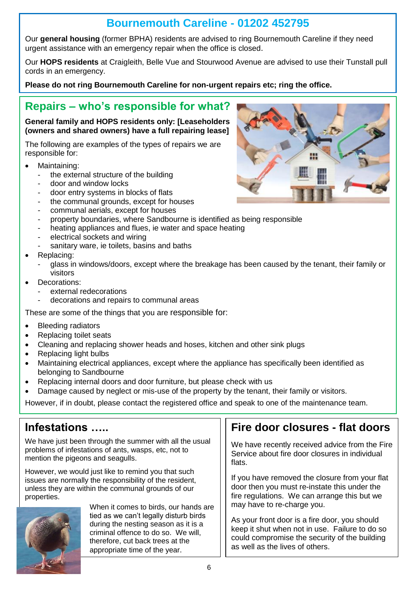### **Bournemouth Careline - 01202 452795**

Our **general housing** (former BPHA) residents are advised to ring Bournemouth Careline if they need urgent assistance with an emergency repair when the office is closed.

Our **HOPS residents** at Craigleith, Belle Vue and Stourwood Avenue are advised to use their Tunstall pull cords in an emergency.

**Please do not ring Bournemouth Careline for non-urgent repairs etc; ring the office.** 

### **Repairs – who's responsible for what?**

#### **General family and HOPS residents only: [Leaseholders (owners and shared owners) have a full repairing lease]**

The following are examples of the types of repairs we are responsible for:

- Maintaining:
	- the external structure of the building
	- door and window locks
	- door entry systems in blocks of flats
	- the communal grounds, except for houses
	- communal aerials, except for houses
	- property boundaries, where Sandbourne is identified as being responsible
	- heating appliances and flues, ie water and space heating
	- electrical sockets and wiring
	- sanitary ware, ie toilets, basins and baths
- Replacing:
	- glass in windows/doors, except where the breakage has been caused by the tenant, their family or visitors
- **•** Decorations:
	- external redecorations
	- decorations and repairs to communal areas

These are some of the things that you are responsible for:

- Bleeding radiators
- Replacing toilet seats
- Cleaning and replacing shower heads and hoses, kitchen and other sink plugs
- Replacing light bulbs
- Maintaining electrical appliances, except where the appliance has specifically been identified as belonging to Sandbourne
- Replacing internal doors and door furniture, but please check with us
- Damage caused by neglect or mis-use of the property by the tenant, their family or visitors.

However, if in doubt, please contact the registered office and speak to one of the maintenance team.

### **Infestations …..**

We have just been through the summer with all the usual problems of infestations of ants, wasps, etc, not to mention the pigeons and seagulls.

However, we would just like to remind you that such issues are normally the responsibility of the resident, unless they are within the communal grounds of our properties.



When it comes to birds, our hands are tied as we can't legally disturb birds during the nesting season as it is a criminal offence to do so. We will, therefore, cut back trees at the appropriate time of the year.

### **Fire door closures - flat doors**

We have recently received advice from the Fire Service about fire door closures in individual flats.

If you have removed the closure from your flat door then you must re-instate this under the fire regulations. We can arrange this but we may have to re-charge you.

As your front door is a fire door, you should keep it shut when not in use. Failure to do so could compromise the security of the building as well as the lives of others.

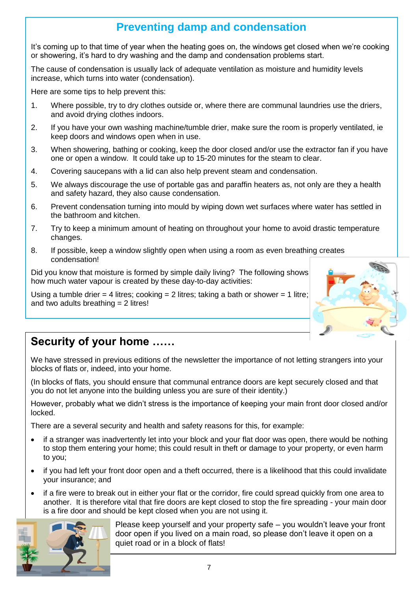### **Preventing damp and condensation**

It's coming up to that time of year when the heating goes on, the windows get closed when we're cooking or showering, it's hard to dry washing and the damp and condensation problems start.

The cause of condensation is usually lack of adequate ventilation as moisture and humidity levels increase, which turns into water (condensation).

Here are some tips to help prevent this:

- 1. Where possible, try to dry clothes outside or, where there are communal laundries use the driers, and avoid drying clothes indoors.
- 2. If you have your own washing machine/tumble drier, make sure the room is properly ventilated, ie keep doors and windows open when in use.
- 3. When showering, bathing or cooking, keep the door closed and/or use the extractor fan if you have one or open a window. It could take up to 15-20 minutes for the steam to clear.
- 4. Covering saucepans with a lid can also help prevent steam and condensation.
- 5. We always discourage the use of portable gas and paraffin heaters as, not only are they a health and safety hazard, they also cause condensation.
- 6. Prevent condensation turning into mould by wiping down wet surfaces where water has settled in the bathroom and kitchen.
- 7. Try to keep a minimum amount of heating on throughout your home to avoid drastic temperature changes.
- 8. If possible, keep a window slightly open when using a room as even breathing creates condensation!

Did you know that moisture is formed by simple daily living? The following shows how much water vapour is created by these day-to-day activities:

Using a tumble drier = 4 litres; cooking = 2 litres; taking a bath or shower = 1 litre; and two adults breathing  $= 2$  litres!



### **Security of your home ……**

We have stressed in previous editions of the newsletter the importance of not letting strangers into your blocks of flats or, indeed, into your home.

(In blocks of flats, you should ensure that communal entrance doors are kept securely closed and that you do not let anyone into the building unless you are sure of their identity.)

However, probably what we didn't stress is the importance of keeping your main front door closed and/or locked.

There are a several security and health and safety reasons for this, for example:

- if a stranger was inadvertently let into your block and your flat door was open, there would be nothing to stop them entering your home; this could result in theft or damage to your property, or even harm to you;
- if you had left your front door open and a theft occurred, there is a likelihood that this could invalidate your insurance; and
- if a fire were to break out in either your flat or the corridor, fire could spread quickly from one area to another. It is therefore vital that fire doors are kept closed to stop the fire spreading - your main door is a fire door and should be kept closed when you are not using it.



Please keep yourself and your property safe – you wouldn't leave your front door open if you lived on a main road, so please don't leave it open on a quiet road or in a block of flats!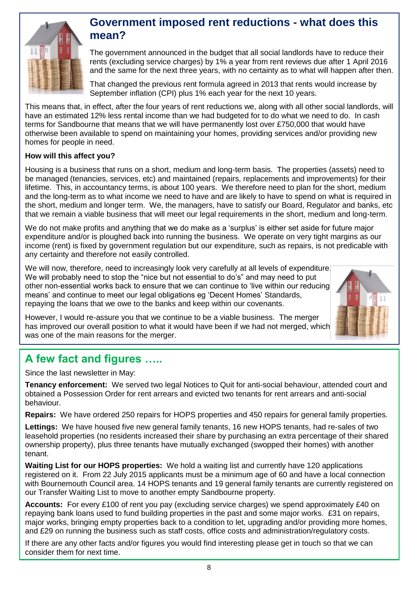

### **Government imposed rent reductions - what does this mean?**

The government announced in the budget that all social landlords have to reduce their rents (excluding service charges) by 1% a year from rent reviews due after 1 April 2016 and the same for the next three years, with no certainty as to what will happen after then.

That changed the previous rent formula agreed in 2013 that rents would increase by September inflation (CPI) plus 1% each year for the next 10 years.

This means that, in effect, after the four years of rent reductions we, along with all other social landlords, will have an estimated 12% less rental income than we had budgeted for to do what we need to do. In cash terms for Sandbourne that means that we will have permanently lost over £750,000 that would have otherwise been available to spend on maintaining your homes, providing services and/or providing new homes for people in need.

#### **How will this affect you?**

Housing is a business that runs on a short, medium and long-term basis. The properties (assets) need to be managed (tenancies, services, etc) and maintained (repairs, replacements and improvements) for their lifetime. This, in accountancy terms, is about 100 years. We therefore need to plan for the short, medium and the long-term as to what income we need to have and are likely to have to spend on what is required in the short, medium and longer term. We, the managers, have to satisfy our Board, Regulator and banks, etc that we remain a viable business that will meet our legal requirements in the short, medium and long-term.

We do not make profits and anything that we do make as a 'surplus' is either set aside for future major expenditure and/or is ploughed back into running the business. We operate on very tight margins as our income (rent) is fixed by government regulation but our expenditure, such as repairs, is not predicable with any certainty and therefore not easily controlled.

We will now, therefore, need to increasingly look very carefully at all levels of expenditure. We will probably need to stop the "nice but not essential to do's" and may need to put other non-essential works back to ensure that we can continue to 'live within our reducing means' and continue to meet our legal obligations eg 'Decent Homes' Standards, repaying the loans that we owe to the banks and keep within our covenants.

However, I would re-assure you that we continue to be a viable business. The merger has improved our overall position to what it would have been if we had not merged, which was one of the main reasons for the merger.

### **A few fact and figures …..**

Since the last newsletter in May:

**Tenancy enforcement:** We served two legal Notices to Quit for anti-social behaviour, attended court and obtained a Possession Order for rent arrears and evicted two tenants for rent arrears and anti-social behaviour.

**Repairs:** We have ordered 250 repairs for HOPS properties and 450 repairs for general family properties.

**Lettings:** We have housed five new general family tenants, 16 new HOPS tenants, had re-sales of two leasehold properties (no residents increased their share by purchasing an extra percentage of their shared ownership property), plus three tenants have mutually exchanged (swopped their homes) with another tenant.

**Waiting List for our HOPS properties:** We hold a waiting list and currently have 120 applications registered on it. From 22 July 2015 applicants must be a minimum age of 60 and have a local connection with Bournemouth Council area. 14 HOPS tenants and 19 general family tenants are currently registered on our Transfer Waiting List to move to another empty Sandbourne property.

**Accounts:** For every £100 of rent you pay (excluding service charges) we spend approximately £40 on repaying bank loans used to fund building properties in the past and some major works. £31 on repairs, major works, bringing empty properties back to a condition to let, upgrading and/or providing more homes, and £29 on running the business such as staff costs, office costs and administration/regulatory costs.

If there are any other facts and/or figures you would find interesting please get in touch so that we can consider them for next time.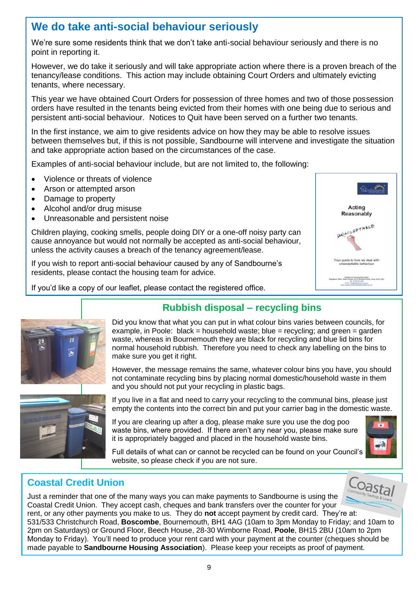### **We do take anti-social behaviour seriously**

We're sure some residents think that we don't take anti-social behaviour seriously and there is no point in reporting it.

However, we do take it seriously and will take appropriate action where there is a proven breach of the tenancy/lease conditions. This action may include obtaining Court Orders and ultimately evicting tenants, where necessary.

This year we have obtained Court Orders for possession of three homes and two of those possession orders have resulted in the tenants being evicted from their homes with one being due to serious and persistent anti-social behaviour. Notices to Quit have been served on a further two tenants.

In the first instance, we aim to give residents advice on how they may be able to resolve issues between themselves but, if this is not possible, Sandbourne will intervene and investigate the situation and take appropriate action based on the circumstances of the case.

Examples of anti-social behaviour include, but are not limited to, the following:

- Violence or threats of violence
- Arson or attempted arson
- Damage to property
- Alcohol and/or drug misuse
- Unreasonable and persistent noise

Children playing, cooking smells, people doing DIY or a one-off noisy party can cause annoyance but would not normally be accepted as anti-social behaviour, unless the activity causes a breach of the tenancy agreement/lease.

If you wish to report anti-social behaviour caused by any of Sandbourne's residents, please contact the housing team for advice.

If you'd like a copy of our leaflet, please contact the registered office.





**Rubbish disposal – recycling bins**

Did you know that what you can put in what colour bins varies between councils, for example, in Poole: black = household waste; blue = recycling; and green = garden waste, whereas in Bournemouth they are black for recycling and blue lid bins for normal household rubbish. Therefore you need to check any labelling on the bins to make sure you get it right.

However, the message remains the same, whatever colour bins you have, you should not contaminate recycling bins by placing normal domestic/household waste in them and you should not put your recycling in plastic bags.

If you live in a flat and need to carry your recycling to the communal bins, please just empty the contents into the correct bin and put your carrier bag in the domestic waste.

If you are clearing up after a dog, please make sure you use the dog poo waste bins, where provided. If there aren't any near you, please make sure it is appropriately bagged and placed in the household waste bins.



Full details of what can or cannot be recycled can be found on your Council's website, so please check if you are not sure.

### **Coastal Credit Union**

Coastal Just a reminder that one of the many ways you can make payments to Sandbourne is using the Coastal Credit Union. They accept cash, cheques and bank transfers over the counter for your rent, or any other payments you make to us. They do **not** accept payment by credit card. They're at: 531/533 Christchurch Road, **Boscombe**, Bournemouth, BH1 4AG (10am to 3pm Monday to Friday; and 10am to 2pm on Saturdays) or Ground Floor, Beech House, 28-30 Wimborne Road, **Poole**, BH15 2BU (10am to 2pm Monday to Friday). You'll need to produce your rent card with your payment at the counter (cheques should be made payable to **Sandbourne Housing Association**). Please keep your receipts as proof of payment.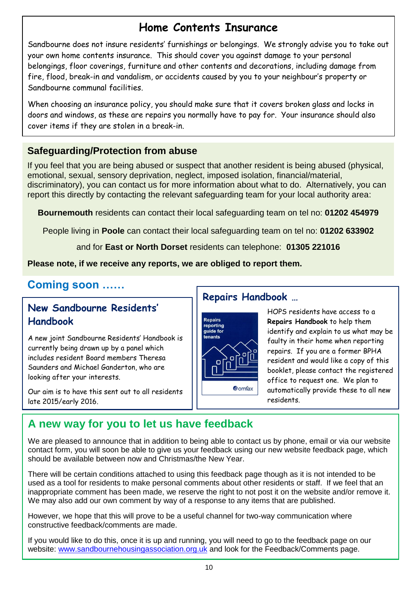### **Home Contents Insurance**

Sandbourne does not insure residents' furnishings or belongings. We strongly advise you to take out your own home contents insurance. This should cover you against damage to your personal belongings, floor coverings, furniture and other contents and decorations, including damage from fire, flood, break-in and vandalism, or accidents caused by you to your neighbour's property or Sandbourne communal facilities.

When choosing an insurance policy, you should make sure that it covers broken glass and locks in doors and windows, as these are repairs you normally have to pay for. Your insurance should also cover items if they are stolen in a break-in.

### **Safeguarding/Protection from abuse**

If you feel that you are being abused or suspect that another resident is being abused (physical, emotional, sexual, sensory deprivation, neglect, imposed isolation, financial/material, discriminatory), you can contact us for more information about what to do. Alternatively, you can report this directly by contacting the relevant safeguarding team for your local authority area:

**Bournemouth** residents can contact their local safeguarding team on tel no: **01202 454979**

People living in **Poole** can contact their local safeguarding team on tel no: **01202 633902**

and for **East or North Dorset** residents can telephone: **01305 221016**

**Please note, if we receive any reports, we are obliged to report them.**

### **Coming soon ……**

### **New Sandbourne Residents' Handbook**

A new joint Sandbourne Residents' Handbook is currently being drawn up by a panel which includes resident Board members Theresa Saunders and Michael Ganderton, who are looking after your interests.

Our aim is to have this sent out to all residents late 2015/early 2016.

### **Repairs Handbook …**



HOPS residents have access to a **Repairs Handbook** to help them identify and explain to us what may be faulty in their home when reporting repairs. If you are a former BPHA resident and would like a copy of this booklet, please contact the registered office to request one. We plan to automatically provide these to all new residents.

### **A new way for you to let us have feedback** .

We are pleased to announce that in addition to being able to contact us by phone, email or via our website contact form, you will soon be able to give us your feedback using our new website feedback page, which should be available between now and Christmas/the New Year.

There will be certain conditions attached to using this feedback page though as it is not intended to be used as a tool for residents to make personal comments about other residents or staff. If we feel that an inappropriate comment has been made, we reserve the right to not post it on the website and/or remove it. We may also add our own comment by way of a response to any items that are published.

However, we hope that this will prove to be a useful channel for two-way communication where constructive feedback/comments are made.

If you would like to do this, once it is up and running, you will need to go to the feedback page on our website: [www.sandbournehousingassociation.org.uk](http://www.sandbournehousingassociation.org.uk/) and look for the Feedback/Comments page.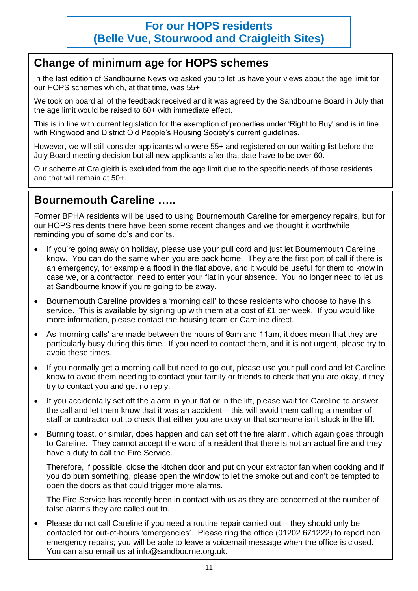### **For our HOPS residents (Belle Vue, Stourwood and Craigleith Sites)**

### **Change of minimum age for HOPS schemes**

In the last edition of Sandbourne News we asked you to let us have your views about the age limit for our HOPS schemes which, at that time, was 55+.

We took on board all of the feedback received and it was agreed by the Sandbourne Board in July that the age limit would be raised to 60+ with immediate effect.

This is in line with current legislation for the exemption of properties under 'Right to Buy' and is in line with Ringwood and District Old People's Housing Society's current guidelines.

However, we will still consider applicants who were 55+ and registered on our waiting list before the July Board meeting decision but all new applicants after that date have to be over 60.

Our scheme at Craigleith is excluded from the age limit due to the specific needs of those residents and that will remain at 50+.

### **Bournemouth Careline …..**

Former BPHA residents will be used to using Bournemouth Careline for emergency repairs, but for our HOPS residents there have been some recent changes and we thought it worthwhile reminding you of some do's and don'ts.

- If you're going away on holiday, please use your pull cord and just let Bournemouth Careline know. You can do the same when you are back home. They are the first port of call if there is an emergency, for example a flood in the flat above, and it would be useful for them to know in case we, or a contractor, need to enter your flat in your absence. You no longer need to let us at Sandbourne know if you're going to be away.
- Bournemouth Careline provides a 'morning call' to those residents who choose to have this service. This is available by signing up with them at a cost of £1 per week. If you would like more information, please contact the housing team or Careline direct.
- As 'morning calls' are made between the hours of 9am and 11am, it does mean that they are particularly busy during this time. If you need to contact them, and it is not urgent, please try to avoid these times.
- If you normally get a morning call but need to go out, please use your pull cord and let Careline know to avoid them needing to contact your family or friends to check that you are okay, if they try to contact you and get no reply.
- If you accidentally set off the alarm in your flat or in the lift, please wait for Careline to answer the call and let them know that it was an accident – this will avoid them calling a member of staff or contractor out to check that either you are okay or that someone isn't stuck in the lift.
- Burning toast, or similar, does happen and can set off the fire alarm, which again goes through to Careline. They cannot accept the word of a resident that there is not an actual fire and they have a duty to call the Fire Service.

Therefore, if possible, close the kitchen door and put on your extractor fan when cooking and if you do burn something, please open the window to let the smoke out and don't be tempted to open the doors as that could trigger more alarms.

The Fire Service has recently been in contact with us as they are concerned at the number of false alarms they are called out to.

 Please do not call Careline if you need a routine repair carried out – they should only be contacted for out-of-hours 'emergencies'. Please ring the office (01202 671222) to report non emergency repairs; you will be able to leave a voicemail message when the office is closed. You can also email us at info@sandbourne.org.uk.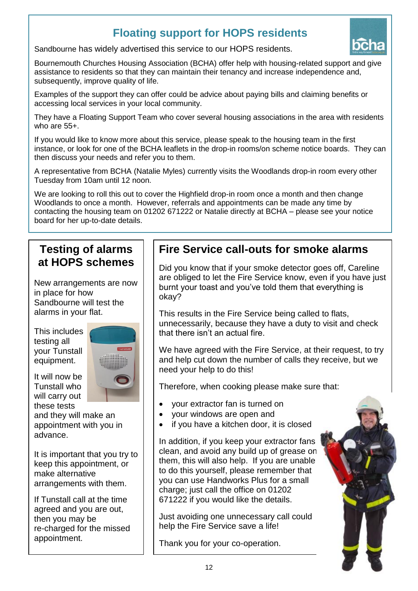### **Floating support for HOPS residents**



Sandbourne has widely advertised this service to our HOPS residents.

Bournemouth Churches Housing Association (BCHA) offer help with housing-related support and give assistance to residents so that they can maintain their tenancy and increase independence and, subsequently, improve quality of life.

Examples of the support they can offer could be advice about paying bills and claiming benefits or accessing local services in your local community.

They have a Floating Support Team who cover several housing associations in the area with residents who are 55+.

If you would like to know more about this service, please speak to the housing team in the first instance, or look for one of the BCHA leaflets in the drop-in rooms/on scheme notice boards. They can then discuss your needs and refer you to them.

A representative from BCHA (Natalie Myles) currently visits the Woodlands drop-in room every other Tuesday from 10am until 12 noon.

We are looking to roll this out to cover the Highfield drop-in room once a month and then change Woodlands to once a month. However, referrals and appointments can be made any time by contacting the housing team on 01202 671222 or Natalie directly at BCHA – please see your notice board for her up-to-date details.

### **Testing of alarms at HOPS schemes**

New arrangements are now in place for how Sandbourne will test the alarms in your flat.

This includes testing all your Tunstall equipment.

It will now be Tunstall who will carry out these tests



and they will make an appointment with you in advance.

It is important that you try to keep this appointment, or make alternative arrangements with them.

If Tunstall call at the time agreed and you are out, then you may be re-charged for the missed appointment.

### **Fire Service call-outs for smoke alarms**

Did you know that if your smoke detector goes off, Careline are obliged to let the Fire Service know, even if you have just burnt your toast and you've told them that everything is okay?

This results in the Fire Service being called to flats, unnecessarily, because they have a duty to visit and check that there isn't an actual fire.

We have agreed with the Fire Service, at their request, to try and help cut down the number of calls they receive, but we need your help to do this!

Therefore, when cooking please make sure that:

- your extractor fan is turned on
- your windows are open and
- if you have a kitchen door, it is closed

In addition, if you keep your extractor fans clean, and avoid any build up of grease on them, this will also help. If you are unable to do this yourself, please remember that you can use Handworks Plus for a small charge; just call the office on 01202 671222 if you would like the details.

Just avoiding one unnecessary call could help the Fire Service save a life!

Thank you for your co-operation.

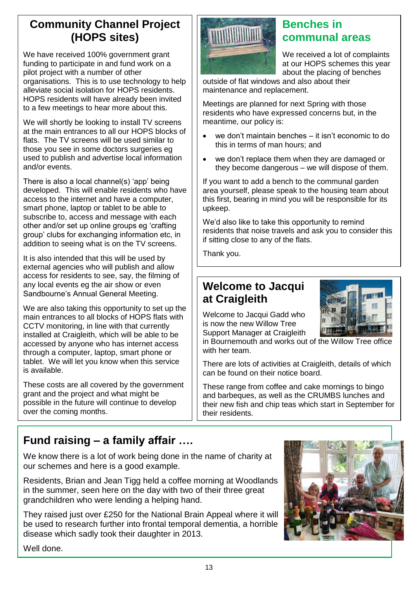### **Community Channel Project (HOPS sites)**

We have received 100% government grant funding to participate in and fund work on a pilot project with a number of other organisations. This is to use technology to help alleviate social isolation for HOPS residents. HOPS residents will have already been invited to a few meetings to hear more about this.

We will shortly be looking to install TV screens at the main entrances to all our HOPS blocks of flats. The TV screens will be used similar to those you see in some doctors surgeries eg used to publish and advertise local information and/or events.

There is also a local channel(s) 'app' being developed. This will enable residents who have access to the internet and have a computer, smart phone, laptop or tablet to be able to subscribe to, access and message with each other and/or set up online groups eg 'crafting group' clubs for exchanging information etc, in addition to seeing what is on the TV screens.

It is also intended that this will be used by external agencies who will publish and allow access for residents to see, say, the filming of any local events eg the air show or even Sandbourne's Annual General Meeting.

We are also taking this opportunity to set up the main entrances to all blocks of HOPS flats with CCTV monitoring, in line with that currently installed at Craigleith, which will be able to be accessed by anyone who has internet access through a computer, laptop, smart phone or tablet. We will let you know when this service is available.

These costs are all covered by the government grant and the project and what might be possible in the future will continue to develop over the coming months.

### **Benches in communal areas**

We received a lot of complaints at our HOPS schemes this year about the placing of benches

outside of flat windows and also about their maintenance and replacement.

Meetings are planned for next Spring with those residents who have expressed concerns but, in the meantime, our policy is:

- we don't maintain benches it isn't economic to do this in terms of man hours; and
- we don't replace them when they are damaged or they become dangerous – we will dispose of them.

If you want to add a bench to the communal garden area yourself, please speak to the housing team about this first, bearing in mind you will be responsible for its upkeep.

We'd also like to take this opportunity to remind residents that noise travels and ask you to consider this if sitting close to any of the flats.

Thank you.

### **Welcome to Jacqui at Craigleith**



Welcome to Jacqui Gadd who is now the new Willow Tree Support Manager at Craigleith

in Bournemouth and works out of the Willow Tree office with her team.

There are lots of activities at Craigleith, details of which can be found on their notice board.

These range from coffee and cake mornings to bingo and barbeques, as well as the CRUMBS lunches and their new fish and chip teas which start in September for their residents.

### **Fund raising – a family affair ….**

We know there is a lot of work being done in the name of charity at our schemes and here is a good example.

Residents, Brian and Jean Tigg held a coffee morning at Woodlands in the summer, seen here on the day with two of their three great grandchildren who were lending a helping hand.

They raised just over £250 for the National Brain Appeal where it will be used to research further into frontal temporal dementia, a horrible disease which sadly took their daughter in 2013.



Well done.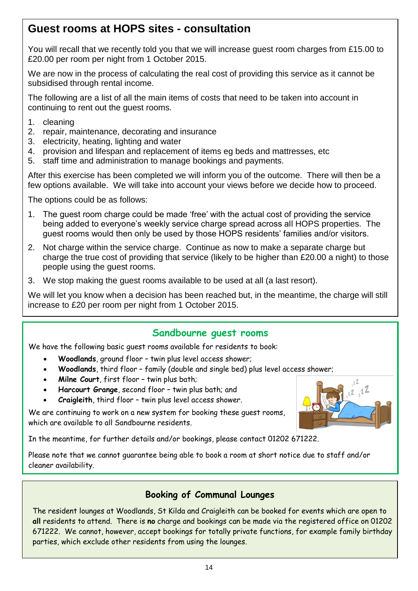### **Guest rooms at HOPS sites - consultation**

You will recall that we recently told you that we will increase guest room charges from £15.00 to £20.00 per room per night from 1 October 2015.

We are now in the process of calculating the real cost of providing this service as it cannot be subsidised through rental income.

The following are a list of all the main items of costs that need to be taken into account in continuing to rent out the guest rooms.

- 1. cleaning
- 2. repair, maintenance, decorating and insurance
- 3. electricity, heating, lighting and water
- 4. provision and lifespan and replacement of items eg beds and mattresses, etc
- 5. staff time and administration to manage bookings and payments.

After this exercise has been completed we will inform you of the outcome. There will then be a few options available. We will take into account your views before we decide how to proceed.

The options could be as follows:

- 1. The guest room charge could be made 'free' with the actual cost of providing the service being added to everyone's weekly service charge spread across all HOPS properties. The guest rooms would then only be used by those HOPS residents' families and/or visitors.
- 2. Not charge within the service charge. Continue as now to make a separate charge but charge the true cost of providing that service (likely to be higher than £20.00 a night) to those people using the guest rooms.
- 3. We stop making the guest rooms available to be used at all (a last resort).

We will let you know when a decision has been reached but, in the meantime, the charge will still increase to £20 per room per night from 1 October 2015.

#### **Sandbourne guest rooms**

We have the following basic guest rooms available for residents to book:

- **Woodlands**, ground floor twin plus level access shower;
- **Woodlands**, third floor family (double and single bed) plus level access shower;
- **Milne Court**, first floor twin plus bath;
- **Harcourt Grange**, second floor twin plus bath; and
- **Craigleith**, third floor twin plus level access shower.

We are continuing to work on a new system for booking these guest rooms, which are available to all Sandbourne residents.

In the meantime, for further details and/or bookings, please contact 01202 671222.

Please note that we cannot guarantee being able to book a room at short notice due to staff and/or cleaner availability.

#### **Booking of Communal Lounges**

The resident lounges at Woodlands, St Kilda and Craigleith can be booked for events which are open to **all** residents to attend. There is **no** charge and bookings can be made via the registered office on 01202 671222. We cannot, however, accept bookings for totally private functions, for example family birthday parties, which exclude other residents from using the lounges.

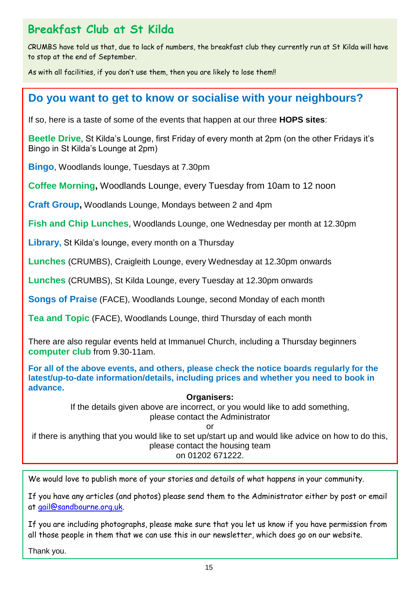### **Breakfast Club at St Kilda**

CRUMBS have told us that, due to lack of numbers, the breakfast club they currently run at St Kilda will have to stop at the end of September.

As with all facilities, if you don't use them, then you are likely to lose them!!

### **Do you want to get to know or socialise with your neighbours?**

If so, here is a taste of some of the events that happen at our three **HOPS sites**:

**Beetle Drive**, St Kilda's Lounge, first Friday of every month at 2pm (on the other Fridays it's Bingo in St Kilda's Lounge at 2pm)

**Bingo**, Woodlands lounge, Tuesdays at 7.30pm

**Coffee Morning,** Woodlands Lounge, every Tuesday from 10am to 12 noon

**Craft Group,** Woodlands Lounge, Mondays between 2 and 4pm

**Fish and Chip Lunches**, Woodlands Lounge, one Wednesday per month at 12.30pm

**Library,** St Kilda's lounge**,** every month on a Thursday

**Lunches** (CRUMBS), Craigleith Lounge, every Wednesday at 12.30pm onwards

**Lunches** (CRUMBS), St Kilda Lounge, every Tuesday at 12.30pm onwards

**Songs of Praise** (FACE), Woodlands Lounge, second Monday of each month

**Tea and Topic** (FACE), Woodlands Lounge, third Thursday of each month

There are also regular events held at Immanuel Church, including a Thursday beginners **computer club** from 9.30-11am.

**For all of the above events, and others, please check the notice boards regularly for the latest/up-to-date information/details, including prices and whether you need to book in advance.**

#### **Organisers:**

If the details given above are incorrect, or you would like to add something, please contact the Administrator

or

if there is anything that you would like to set up/start up and would like advice on how to do this, please contact the housing team on 01202 671222.

We would love to publish more of your stories and details of what happens in your community.

If you have any articles (and photos) please send them to the Administrator either by post or email at [gail@sandbourne.org.uk.](mailto:gail@sandbourne.org.uk)

If you are including photographs, please make sure that you let us know if you have permission from all those people in them that we can use this in our newsletter, which does go on our website.

Thank you.